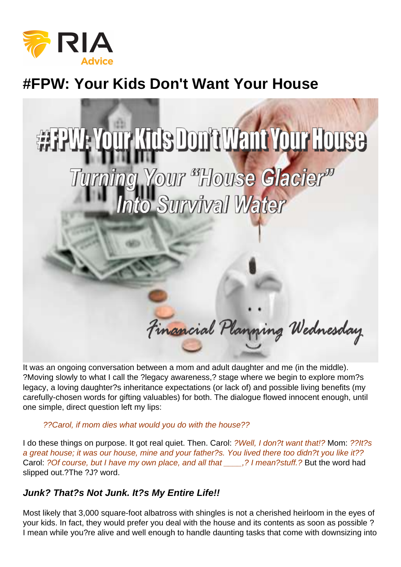# #FPW: Your Kids Don't Want Your House

It was an ongoing conversation between a mom and adult daughter and me (in the middle). ?Moving slowly to what I call the ?legacy awareness,? stage where we begin to explore mom?s legacy, a loving daughter?s inheritance expectations (or lack of) and possible living benefits (my carefully-chosen words for gifting valuables) for both. The dialogue flowed innocent enough, until one simple, direct question left my lips:

#### ??Carol, if mom dies what would you do with the house??

I do these things on purpose. It got real quiet. Then. Carol: ?Well, I don?t want that!? Mom: ??It?s a great house; it was our house, mine and your father?s. You lived there too didn?t you like it?? Carol: ?Of course, but I have my own place, and all that \_\_\_\_,? I mean?stuff.? But the word had slipped out.?The ?J? word.

#### Junk? That?s Not Junk. It?s My Entire Life!!

Most likely that 3,000 square-foot albatross with shingles is not a cherished heirloom in the eyes of your kids. In fact, they would prefer you deal with the house and its contents as soon as possible ? I mean while you?re alive and well enough to handle daunting tasks that come with downsizing into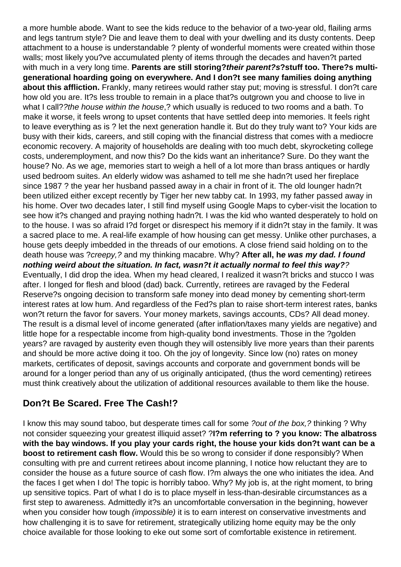a more humble abode. Want to see the kids reduce to the behavior of a two-year old, flailing arms and legs tantrum style? Die and leave them to deal with your dwelling and its dusty contents. Deep attachment to a house is understandable ? plenty of wonderful moments were created within those walls; most likely you?ve accumulated plenty of items through the decades and haven?t parted with much in a very long time. **Parents are still storing?their parent?s?stuff too. There?s multigenerational hoarding going on everywhere. And I don?t see many families doing anything about this affliction.** Frankly, many retirees would rather stay put; moving is stressful. I don?t care how old you are. It?s less trouble to remain in a place that?s outgrown you and choose to live in what I call??the house within the house,? which usually is reduced to two rooms and a bath. To make it worse, it feels wrong to upset contents that have settled deep into memories. It feels right to leave everything as is ? let the next generation handle it. But do they truly want to? Your kids are busy with their kids, careers, and still coping with the financial distress that comes with a mediocre economic recovery. A majority of households are dealing with too much debt, skyrocketing college costs, underemployment, and now this? Do the kids want an inheritance? Sure. Do they want the house? No. As we age, memories start to weigh a hell of a lot more than brass antiques or hardly used bedroom suites. An elderly widow was ashamed to tell me she hadn?t used her fireplace since 1987 ? the year her husband passed away in a chair in front of it. The old lounger hadn?t been utilized either except recently by Tiger her new tabby cat. In 1993, my father passed away in his home. Over two decades later, I still find myself using Google Maps to cyber-visit the location to see how it?s changed and praying nothing hadn?t. I was the kid who wanted desperately to hold on to the house. I was so afraid I?d forget or disrespect his memory if it didn?t stay in the family. It was a sacred place to me. A real-life example of how housing can get messy. Unlike other purchases, a house gets deeply imbedded in the threads of our emotions. A close friend said holding on to the death house was ?creepy,? and my thinking macabre. Why? **After all, he was my dad. I found nothing weird about the situation. In fact, wasn?t it actually normal to feel this way?**? Eventually, I did drop the idea. When my head cleared, I realized it wasn?t bricks and stucco I was after. I longed for flesh and blood (dad) back. Currently, retirees are ravaged by the Federal Reserve?s ongoing decision to transform safe money into dead money by cementing short-term interest rates at low hum. And regardless of the Fed?s plan to raise short-term interest rates, banks won?t return the favor for savers. Your money markets, savings accounts, CDs? All dead money. The result is a dismal level of income generated (after inflation/taxes many yields are negative) and little hope for a respectable income from high-quality bond investments. Those in the ?golden years? are ravaged by austerity even though they will ostensibly live more years than their parents and should be more active doing it too. Oh the joy of longevity. Since low (no) rates on money markets, certificates of deposit, savings accounts and corporate and government bonds will be around for a longer period than any of us originally anticipated, (thus the word cementing) retirees must think creatively about the utilization of additional resources available to them like the house.

### **Don?t Be Scared. Free The Cash!?**

I know this may sound taboo, but desperate times call for some ?out of the box,? thinking ? Why not consider squeezing your greatest illiquid asset? ?**I?m referring to ? you know: The albatross with the bay windows. If you play your cards right, the house your kids don?t want can be a boost to retirement cash flow.** Would this be so wrong to consider if done responsibly? When consulting with pre and current retirees about income planning, I notice how reluctant they are to consider the house as a future source of cash flow. I?m always the one who initiates the idea. And the faces I get when I do! The topic is horribly taboo. Why? My job is, at the right moment, to bring up sensitive topics. Part of what I do is to place myself in less-than-desirable circumstances as a first step to awareness. Admittedly it?s an uncomfortable conversation in the beginning, however when you consider how tough *(impossible)* it is to earn interest on conservative investments and how challenging it is to save for retirement, strategically utilizing home equity may be the only choice available for those looking to eke out some sort of comfortable existence in retirement.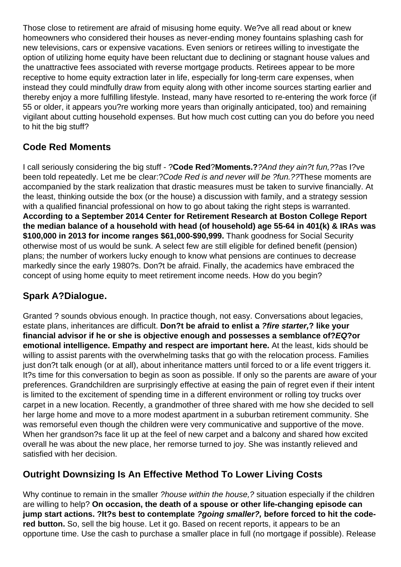Those close to retirement are afraid of misusing home equity. We?ve all read about or knew homeowners who considered their houses as never-ending money fountains splashing cash for new televisions, cars or expensive vacations. Even seniors or retirees willing to investigate the option of utilizing home equity have been reluctant due to declining or stagnant house values and the unattractive fees associated with reverse mortgage products. Retirees appear to be more receptive to home equity extraction later in life, especially for long-term care expenses, when instead they could mindfully draw from equity along with other income sources starting earlier and thereby enjoy a more fulfilling lifestyle. Instead, many have resorted to re-entering the work force (if 55 or older, it appears you?re working more years than originally anticipated, too) and remaining vigilant about cutting household expenses. But how much cost cutting can you do before you need to hit the big stuff?

## **Code Red Moments**

I call seriously considering the big stuff - ?**Code Red**?**Moments.?**?And they ain?t fun,??as I?ve been told repeatedly. Let me be clear:? Code Red is and never will be ? fun.?? These moments are accompanied by the stark realization that drastic measures must be taken to survive financially. At the least, thinking outside the box (or the house) a discussion with family, and a strategy session with a qualified financial professional on how to go about taking the right steps is warranted. **According to a September 2014 Center for Retirement Research at Boston College Report the median balance of a household with head (of household) age 55-64 in 401(k) & IRAs was \$100,000 in 2013 for income ranges \$61,000-\$90,999.** Thank goodness for Social Security otherwise most of us would be sunk. A select few are still eligible for defined benefit (pension) plans; the number of workers lucky enough to know what pensions are continues to decrease markedly since the early 1980?s. Don?t be afraid. Finally, the academics have embraced the concept of using home equity to meet retirement income needs. How do you begin?

# **Spark A?Dialogue.**

Granted ? sounds obvious enough. In practice though, not easy. Conversations about legacies, estate plans, inheritances are difficult. **Don?t be afraid to enlist a ?fire starter,? like your financial advisor if he or she is objective enough and possesses a semblance of?EQ?or emotional intelligence. Empathy and respect are important here.** At the least, kids should be willing to assist parents with the overwhelming tasks that go with the relocation process. Families just don?t talk enough (or at all), about inheritance matters until forced to or a life event triggers it. It?s time for this conversation to begin as soon as possible. If only so the parents are aware of your preferences. Grandchildren are surprisingly effective at easing the pain of regret even if their intent is limited to the excitement of spending time in a different environment or rolling toy trucks over carpet in a new location. Recently, a grandmother of three shared with me how she decided to sell her large home and move to a more modest apartment in a suburban retirement community. She was remorseful even though the children were very communicative and supportive of the move. When her grandson?s face lit up at the feel of new carpet and a balcony and shared how excited overall he was about the new place, her remorse turned to joy. She was instantly relieved and satisfied with her decision.

## **Outright Downsizing Is An Effective Method To Lower Living Costs**

Why continue to remain in the smaller ?house within the house, ? situation especially if the children are willing to help? **On occasion, the death of a spouse or other life-changing episode can jump start actions. ?It?s best to contemplate ?going smaller?, before forced to hit the codered button.** So, sell the big house. Let it go. Based on recent reports, it appears to be an opportune time. Use the cash to purchase a smaller place in full (no mortgage if possible). Release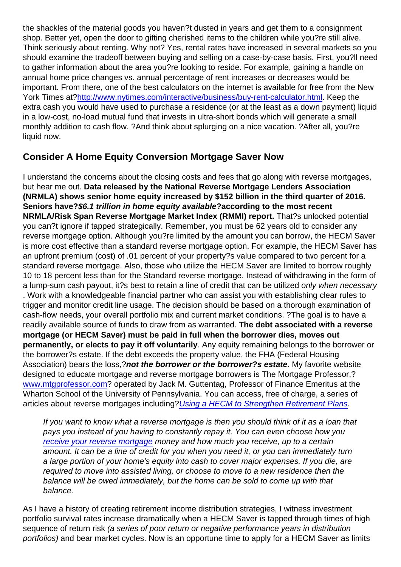the shackles of the material goods you haven?t dusted in years and get them to a consignment shop. Better yet, open the door to gifting cherished items to the children while you?re still alive. Think seriously about renting. Why not? Yes, rental rates have increased in several markets so you should examine the tradeoff between buying and selling on a case-by-case basis. First, you?ll need to gather information about the area you?re looking to reside. For example, gaining a handle on annual home price changes vs. annual percentage of rent increases or decreases would be important. From there, one of the best calculators on the internet is available for free from the New York Times at?[http://www.nytimes.com/interactive/business/buy-rent-calculator.html.](http://www.nytimes.com/interactive/business/buy-rent-calculator.html) Keep the extra cash you would have used to purchase a residence (or at the least as a down payment) liquid in a low-cost, no-load mutual fund that invests in ultra-short bonds which will generate a small monthly addition to cash flow. ?And think about splurging on a nice vacation. ?After all, you?re liquid now.

### Consider A Home Equity Conversion Mortgage Saver Now

I understand the concerns about the closing costs and fees that go along with reverse mortgages, but hear me out. Data released by the National Reverse Mortgage Lenders Association (NRMLA) shows senior home equity increased by \$152 billion in the third quarter of 2016. Seniors have? \$6.1 trillion in home equity available ?according to the most recent NRMLA/Risk Span Reverse Mortgage Market Index (RMMI) report. That?s unlocked potential you can?t ignore if tapped strategically. Remember, you must be 62 years old to consider any reverse mortgage option. Although you?re limited by the amount you can borrow, the HECM Saver is more cost effective than a standard reverse mortgage option. For example, the HECM Saver has an upfront premium (cost) of .01 percent of your property?s value compared to two percent for a standard reverse mortgage. Also, those who utilize the HECM Saver are limited to borrow roughly 10 to 18 percent less than for the Standard reverse mortgage. Instead of withdrawing in the form of a lump-sum cash payout, it?s best to retain a line of credit that can be utilized only when necessary . Work with a knowledgeable financial partner who can assist you with establishing clear rules to trigger and monitor credit line usage. The decision should be based on a thorough examination of cash-flow needs, your overall portfolio mix and current market conditions. ?The goal is to have a readily available source of funds to draw from as warranted. The debt associated with a reverse mortgage (or HECM Saver) must be paid in full when the borrower dies, moves out permanently, or elects to pay it off voluntarily . Any equity remaining belongs to the borrower or the borrower?s estate. If the debt exceeds the property value, the FHA (Federal Housing Association) bears the loss,?not the borrower or the borrower?s estate . My favorite website designed to educate mortgage and reverse mortgage borrowers is The Mortgage Professor,? [www.mtgprofessor.com](http://www.mtgprofessor.com/)? operated by Jack M. Guttentag, Professor of Finance Emeritus at the Wharton School of the University of Pennsylvania. You can access, free of charge, a series of articles about reverse mortgages including[?Using a HECM to Strengthen Retirement Plans](http://www.mtgprofessor.com/A - Reverse Mortgages/using_a_hecm_to_strengthen_retirement.html).

If you want to know what a reverse mortgage is then you should think of it as a loan that pays you instead of you having to constantly repay it. You can even choose how you [receive your reverse mortgage](https://reverse.mortgage/) money and how much you receive, up to a certain amount. It can be a line of credit for you when you need it, or you can immediately turn a large portion of your home's equity into cash to cover major expenses. If you die, are required to move into assisted living, or choose to move to a new residence then the balance will be owed immediately, but the home can be sold to come up with that balance.

As I have a history of creating retirement income distribution strategies, I witness investment portfolio survival rates increase dramatically when a HECM Saver is tapped through times of high sequence of return risk (a series of poor return or negative performance years in distribution portfolios) and bear market cycles. Now is an opportune time to apply for a HECM Saver as limits